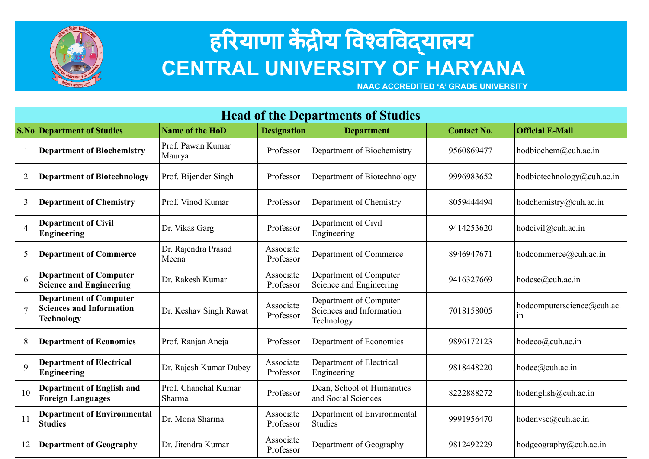

## स्तरियाणा केंद्रीय विश्वविद्**यालय CENTRAL UNIVERSITY OF HARYANA**

 **NAAC ACCREDITED 'A' GRADE UNIVERSITY**

| <b>Head of the Departments of Studies</b> |                                                                                       |                                |                        |                                                                  |                    |                                  |  |
|-------------------------------------------|---------------------------------------------------------------------------------------|--------------------------------|------------------------|------------------------------------------------------------------|--------------------|----------------------------------|--|
|                                           | <b>S.No Department of Studies</b>                                                     | <b>Name of the HoD</b>         | <b>Designation</b>     | <b>Department</b>                                                | <b>Contact No.</b> | <b>Official E-Mail</b>           |  |
|                                           | <b>Department of Biochemistry</b>                                                     | Prof. Pawan Kumar<br>Maurya    | Professor              | Department of Biochemistry                                       | 9560869477         | hodbiochem@cuh.ac.in             |  |
| $\overline{2}$                            | <b>Department of Biotechnology</b>                                                    | Prof. Bijender Singh           | Professor              | Department of Biotechnology                                      | 9996983652         | hodbiotechnology@cuh.ac.in       |  |
| 3                                         | <b>Department of Chemistry</b>                                                        | Prof. Vinod Kumar              | Professor              | Department of Chemistry                                          | 8059444494         | hodchemistry@cuh.ac.in           |  |
| $\overline{4}$                            | <b>Department of Civil</b><br><b>Engineering</b>                                      | Dr. Vikas Garg                 | Professor              | Department of Civil<br>Engineering                               | 9414253620         | hodcivil@cuh.ac.in               |  |
| 5                                         | <b>Department of Commerce</b>                                                         | Dr. Rajendra Prasad<br>Meena   | Associate<br>Professor | Department of Commerce                                           | 8946947671         | hodcommerce@cuh.ac.in            |  |
| 6                                         | <b>Department of Computer</b><br><b>Science and Engineering</b>                       | Dr. Rakesh Kumar               | Associate<br>Professor | Department of Computer<br>Science and Engineering                | 9416327669         | hodcse@cuh.ac.in                 |  |
|                                           | <b>Department of Computer</b><br><b>Sciences and Information</b><br><b>Technology</b> | Dr. Keshav Singh Rawat         | Associate<br>Professor | Department of Computer<br>Sciences and Information<br>Technology | 7018158005         | hodcomputerscience@cuh.ac.<br>1n |  |
| 8                                         | <b>Department of Economics</b>                                                        | Prof. Ranjan Aneja             | Professor              | Department of Economics                                          | 9896172123         | hodeco@cuh.ac.in                 |  |
| $\mathbf Q$                               | <b>Department of Electrical</b><br><b>Engineering</b>                                 | Dr. Rajesh Kumar Dubey         | Associate<br>Professor | Department of Electrical<br>Engineering                          | 9818448220         | hodee@cuh.ac.in                  |  |
| 10                                        | <b>Department of English and</b><br><b>Foreign Languages</b>                          | Prof. Chanchal Kumar<br>Sharma | Professor              | Dean, School of Humanities<br>and Social Sciences                | 8222888272         | hodenglish $@$ cuh.ac.in         |  |
| 11                                        | <b>Department of Environmental</b><br><b>Studies</b>                                  | Dr. Mona Sharma                | Associate<br>Professor | Department of Environmental<br><b>Studies</b>                    | 9991956470         | hodenvsc@cuh.ac.in               |  |
| 12                                        | <b>Department of Geography</b>                                                        | Dr. Jitendra Kumar             | Associate<br>Professor | Department of Geography                                          | 9812492229         | hodgeography@cuh.ac.in           |  |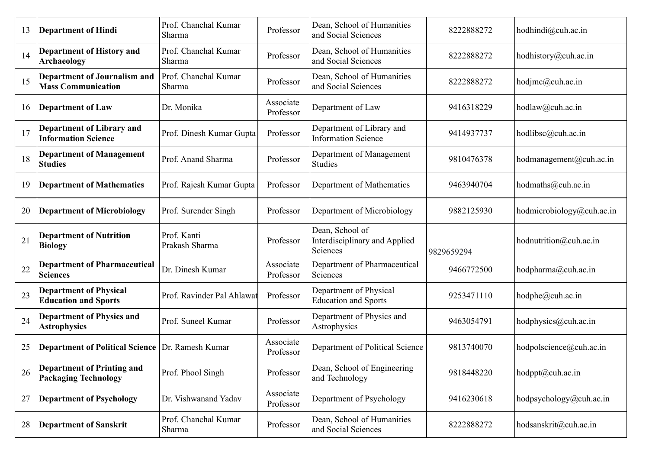| 13 | <b>Department of Hindi</b>                                       | Prof. Chanchal Kumar<br>Sharma | Professor              | Dean, School of Humanities<br>and Social Sciences            | 8222888272 | hodhindi@cuh.ac.in                  |
|----|------------------------------------------------------------------|--------------------------------|------------------------|--------------------------------------------------------------|------------|-------------------------------------|
| 14 | <b>Department of History and</b><br><b>Archaeology</b>           | Prof. Chanchal Kumar<br>Sharma | Professor              | Dean, School of Humanities<br>and Social Sciences            | 8222888272 | hodhistory@cuh.ac.in                |
| 15 | <b>Department of Journalism and</b><br><b>Mass Communication</b> | Prof. Chanchal Kumar<br>Sharma | Professor              | Dean, School of Humanities<br>and Social Sciences            | 8222888272 | hodjmc@cuh.ac.in                    |
| 16 | <b>Department of Law</b>                                         | Dr. Monika                     | Associate<br>Professor | Department of Law                                            | 9416318229 | hodlaw@cuh.ac.in                    |
| 17 | <b>Department of Library and</b><br><b>Information Science</b>   | Prof. Dinesh Kumar Gupta       | Professor              | Department of Library and<br><b>Information Science</b>      | 9414937737 | hodlibsc@cuh.ac.in                  |
| 18 | <b>Department of Management</b><br><b>Studies</b>                | Prof. Anand Sharma             | Professor              | Department of Management<br><b>Studies</b>                   | 9810476378 | hodmanagement@cuh.ac.in             |
| 19 | <b>Department of Mathematics</b>                                 | Prof. Rajesh Kumar Gupta       | Professor              | Department of Mathematics                                    | 9463940704 | $h$ odmaths@cuh.ac.in               |
| 20 | <b>Department of Microbiology</b>                                | Prof. Surender Singh           | Professor              | Department of Microbiology                                   | 9882125930 | hodmicrobiology@cuh.ac.in           |
| 21 | <b>Department of Nutrition</b><br><b>Biology</b>                 | Prof. Kanti<br>Prakash Sharma  | Professor              | Dean, School of<br>Interdisciplinary and Applied<br>Sciences | 9829659294 | hodnutrition@cuh.ac.in              |
| 22 | <b>Department of Pharmaceutical</b><br><b>Sciences</b>           | Dr. Dinesh Kumar               | Associate<br>Professor | Department of Pharmaceutical<br>Sciences                     | 9466772500 | hodpharma@cuh.ac.in                 |
| 23 | <b>Department of Physical</b><br><b>Education and Sports</b>     | Prof. Ravinder Pal Ahlawat     | Professor              | Department of Physical<br><b>Education and Sports</b>        | 9253471110 | hodphe@cuh.ac.in                    |
| 24 | <b>Department of Physics and</b><br><b>Astrophysics</b>          | Prof. Suneel Kumar             | Professor              | Department of Physics and<br>Astrophysics                    | 9463054791 | hodphysics@cuh.ac.in                |
| 25 | <b>Department of Political Science Dr. Ramesh Kumar</b>          |                                | Associate<br>Professor | Department of Political Science                              | 9813740070 | hodpolscience@cuh.ac.in             |
| 26 | <b>Department of Printing and</b><br><b>Packaging Technology</b> | Prof. Phool Singh              | Professor              | Dean, School of Engineering<br>and Technology                | 9818448220 | $h \text{odppt}(\hat{a})$ cuh.ac.in |
| 27 | <b>Department of Psychology</b>                                  | Dr. Vishwanand Yadav           | Associate<br>Professor | Department of Psychology                                     | 9416230618 | hodpsychology@cuh.ac.in             |
| 28 | <b>Department of Sanskrit</b>                                    | Prof. Chanchal Kumar<br>Sharma | Professor              | Dean, School of Humanities<br>and Social Sciences            | 8222888272 | hodsanskrit@cuh.ac.in               |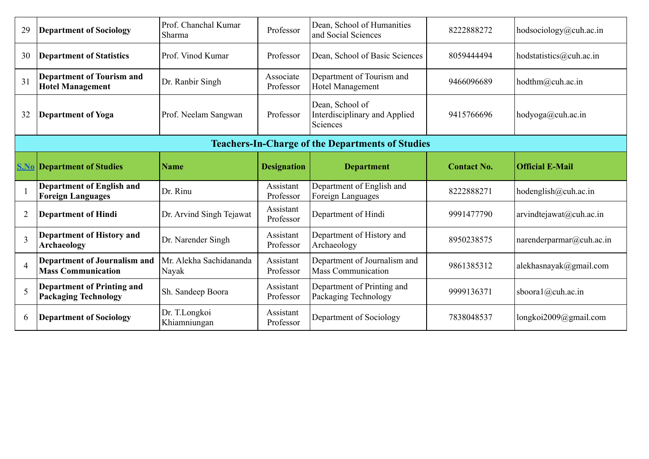| 29                       | <b>Department of Sociology</b>                                   | Prof. Chanchal Kumar<br>Sharma   | Professor              | Dean, School of Humanities<br>and Social Sciences            | 8222888272         | hodsociology@cuh.ac.in   |
|--------------------------|------------------------------------------------------------------|----------------------------------|------------------------|--------------------------------------------------------------|--------------------|--------------------------|
| 30                       | <b>Department of Statistics</b>                                  | Prof. Vinod Kumar                | Professor              | Dean, School of Basic Sciences                               | 8059444494         | hodstatistics@cuh.ac.in  |
| 31                       | <b>Department of Tourism and</b><br><b>Hotel Management</b>      | Dr. Ranbir Singh                 | Associate<br>Professor | Department of Tourism and<br>Hotel Management                | 9466096689         | hodthm@cuh.ac.in         |
| 32                       | <b>Department of Yoga</b>                                        | Prof. Neelam Sangwan             | Professor              | Dean, School of<br>Interdisciplinary and Applied<br>Sciences | 9415766696         | hodyoga@cuh.ac.in        |
|                          |                                                                  |                                  |                        | <b>Teachers-In-Charge of the Departments of Studies</b>      |                    |                          |
|                          | <b>S.No Department of Studies</b>                                | <b>Name</b>                      | <b>Designation</b>     | <b>Department</b>                                            | <b>Contact No.</b> | <b>Official E-Mail</b>   |
|                          |                                                                  |                                  |                        |                                                              |                    |                          |
|                          | <b>Department of English and</b><br><b>Foreign Languages</b>     | Dr. Rinu                         | Assistant<br>Professor | Department of English and<br>Foreign Languages               | 8222888271         | hodenglish@cuh.ac.in     |
| $\overline{2}$           | <b>Department of Hindi</b>                                       | Dr. Arvind Singh Tejawat         | Assistant<br>Professor | Department of Hindi                                          | 9991477790         | arvindtejawat@cuh.ac.in  |
| $\overline{\mathcal{E}}$ | <b>Department of History and</b><br>Archaeology                  | Dr. Narender Singh               | Assistant<br>Professor | Department of History and<br>Archaeology                     | 8950238575         | narenderparmar@cuh.ac.in |
| $\overline{4}$           | <b>Department of Journalism and</b><br><b>Mass Communication</b> | Mr. Alekha Sachidananda<br>Nayak | Assistant<br>Professor | Department of Journalism and<br><b>Mass Communication</b>    | 9861385312         | alekhasnayak@gmail.com   |
| 5                        | <b>Department of Printing and</b><br><b>Packaging Technology</b> | Sh. Sandeep Boora                | Assistant<br>Professor | Department of Printing and<br>Packaging Technology           | 9999136371         | sboora1@cuh.ac.in        |